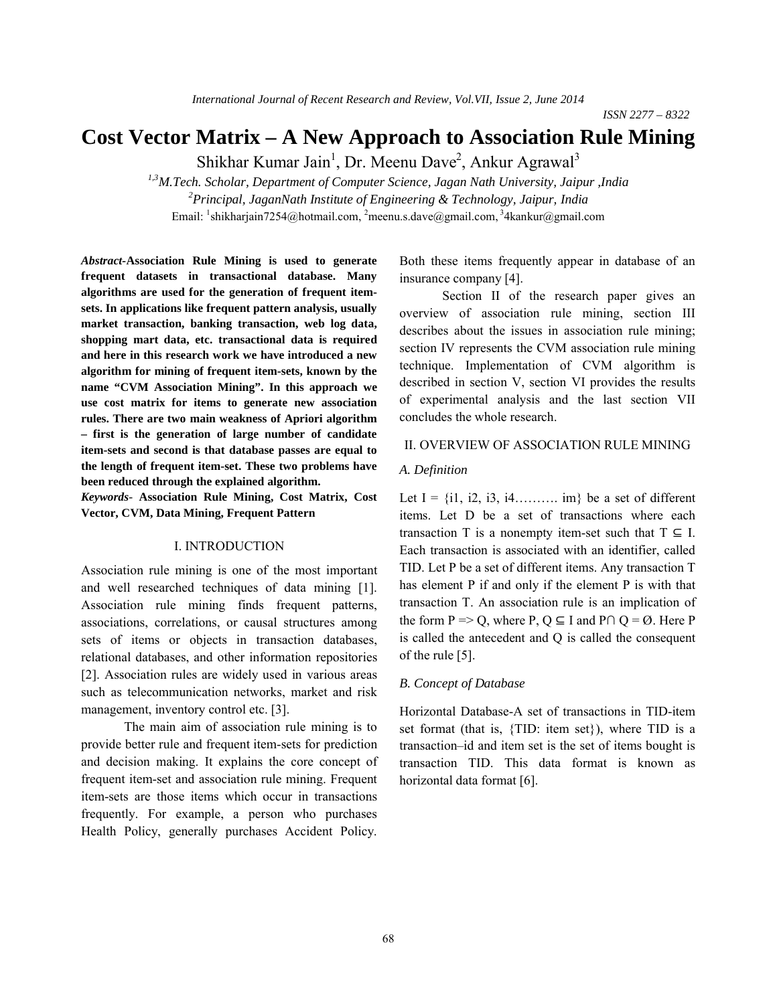# **Cost Vector Matrix – A New Approach to Association Rule Mining**

Shikhar Kumar Jain<sup>1</sup>, Dr. Meenu Dave<sup>2</sup>, Ankur Agrawal<sup>3</sup>

*1,3M.Tech. Scholar, Department of Computer Science, Jagan Nath University, Jaipur ,India 2 Principal, JaganNath Institute of Engineering & Technology, Jaipur, India* Email: <sup>1</sup>shikharjain7254@hotmail.com, <sup>2</sup>meenu.s.dave@gmail.com, <sup>3</sup>4kankur@gmail.com

*Abstract-***Association Rule Mining is used to generate frequent datasets in transactional database. Many algorithms are used for the generation of frequent itemsets. In applications like frequent pattern analysis, usually market transaction, banking transaction, web log data, shopping mart data, etc. transactional data is required and here in this research work we have introduced a new algorithm for mining of frequent item-sets, known by the name "CVM Association Mining". In this approach we use cost matrix for items to generate new association rules. There are two main weakness of Apriori algorithm – first is the generation of large number of candidate item-sets and second is that database passes are equal to the length of frequent item-set. These two problems have been reduced through the explained algorithm.**

*Keywords-* **Association Rule Mining, Cost Matrix, Cost Vector, CVM, Data Mining, Frequent Pattern**

### I. INTRODUCTION

Association rule mining is one of the most important and well researched techniques of data mining [1]. Association rule mining finds frequent patterns, associations, correlations, or causal structures among sets of items or objects in transaction databases, relational databases, and other information repositories [2]. Association rules are widely used in various areas such as telecommunication networks, market and risk management, inventory control etc. [3].

The main aim of association rule mining is to provide better rule and frequent item-sets for prediction and decision making. It explains the core concept of frequent item-set and association rule mining. Frequent item-sets are those items which occur in transactions frequently. For example, a person who purchases Health Policy, generally purchases Accident Policy.

Both these items frequently appear in database of an insurance company [4].

Section II of the research paper gives an overview of association rule mining, section III describes about the issues in association rule mining; section IV represents the CVM association rule mining technique. Implementation of CVM algorithm is described in section V, section VI provides the results of experimental analysis and the last section VII concludes the whole research.

### II. OVERVIEW OF ASSOCIATION RULE MINING

#### *A. Definition*

Let  $I = \{i1, i2, i3, i4, \ldots \}$  be a set of different items. Let D be a set of transactions where each transaction T is a nonempty item-set such that  $T \subseteq I$ . Each transaction is associated with an identifier, called TID. Let P be a set of different items. Any transaction T has element P if and only if the element P is with that transaction T. An association rule is an implication of the form P => Q, where P, Q  $\subseteq$  I and P $\cap$  Q = Ø. Here P is called the antecedent and Q is called the consequent of the rule [5].

### *B. Concept of Database*

Horizontal Database-A set of transactions in TID-item set format (that is, {TID: item set}), where TID is a transaction–id and item set is the set of items bought is transaction TID. This data format is known as horizontal data format [6].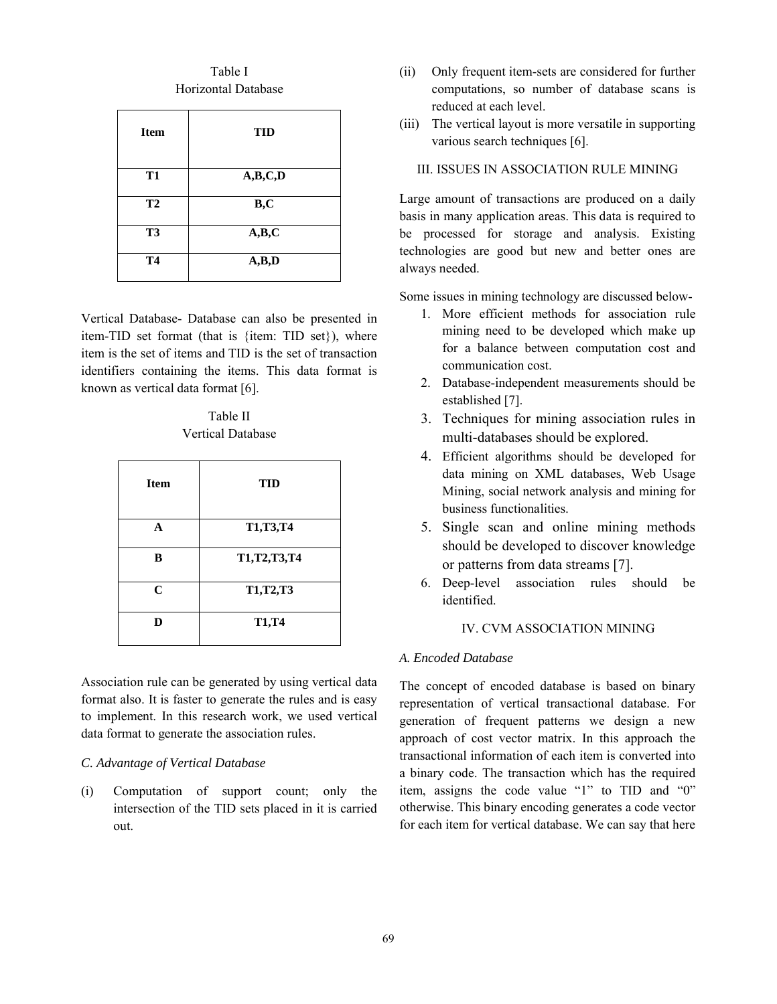Table I Horizontal Database

| <b>Item</b>    | <b>TID</b> |
|----------------|------------|
| <b>T1</b>      | A,B,C,D    |
| T <sub>2</sub> | B, C       |
| T <sub>3</sub> | A,B,C      |
| <b>T4</b>      | A,B,D      |

Vertical Database- Database can also be presented in item-TID set format (that is {item: TID set}), where item is the set of items and TID is the set of transaction identifiers containing the items. This data format is known as vertical data format [6].

Table II Vertical Database

| <b>Item</b> | TID            |
|-------------|----------------|
| A           | T1,T3,T4       |
| B           | T1, T2, T3, T4 |
| $\mathbf C$ | T1,T2,T3       |
| D           | <b>T1,T4</b>   |

Association rule can be generated by using vertical data format also. It is faster to generate the rules and is easy to implement. In this research work, we used vertical data format to generate the association rules.

### *C. Advantage of Vertical Database*

(i) Computation of support count; only the intersection of the TID sets placed in it is carried out.

- (ii) Only frequent item-sets are considered for further computations, so number of database scans is reduced at each level.
- (iii) The vertical layout is more versatile in supporting various search techniques [6].

# III. ISSUES IN ASSOCIATION RULE MINING

Large amount of transactions are produced on a daily basis in many application areas. This data is required to be processed for storage and analysis. Existing technologies are good but new and better ones are always needed.

Some issues in mining technology are discussed below-

- 1. More efficient methods for association rule mining need to be developed which make up for a balance between computation cost and communication cost.
- 2. Database-independent measurements should be established [7].
- 3. Techniques for mining association rules in multi-databases should be explored.
- 4. Efficient algorithms should be developed for data mining on XML databases, Web Usage Mining, social network analysis and mining for business functionalities.
- 5. Single scan and online mining methods should be developed to discover knowledge or patterns from data streams [7].
- 6. Deep-level association rules should be identified.

# IV. CVM ASSOCIATION MINING

### *A. Encoded Database*

The concept of encoded database is based on binary representation of vertical transactional database. For generation of frequent patterns we design a new approach of cost vector matrix. In this approach the transactional information of each item is converted into a binary code. The transaction which has the required item, assigns the code value "1" to TID and "0" otherwise. This binary encoding generates a code vector for each item for vertical database. We can say that here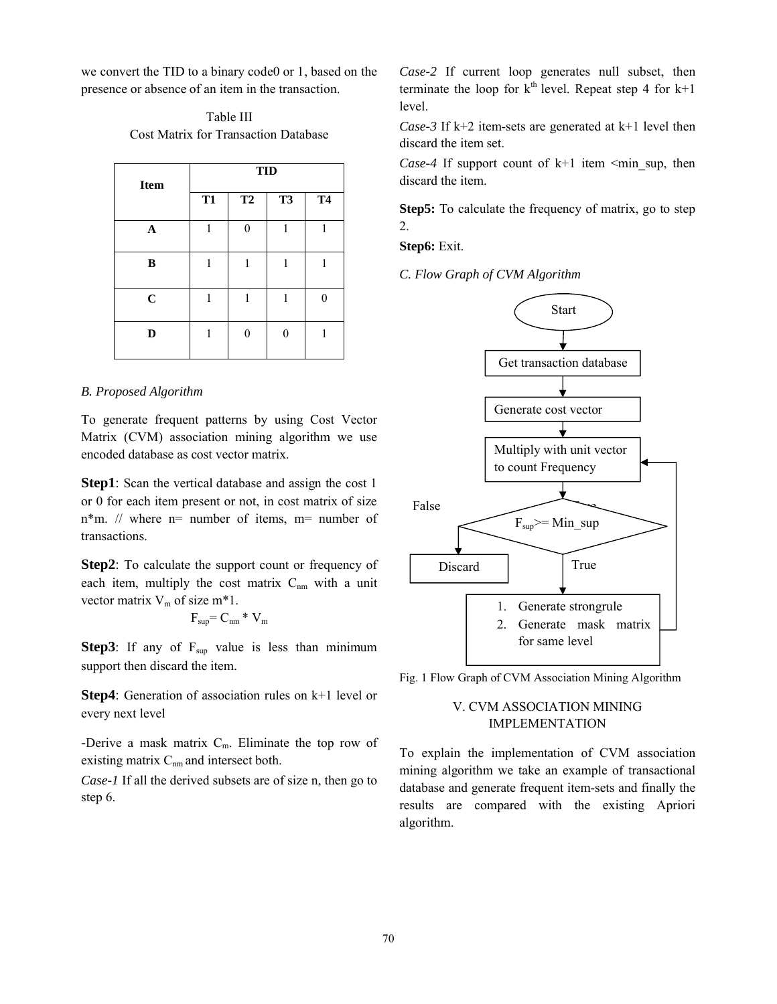we convert the TID to a binary code0 or 1, based on the presence or absence of an item in the transaction.

Table III Cost Matrix for Transaction Database

| <b>Item</b> | <b>TID</b> |          |           |           |  |  |
|-------------|------------|----------|-----------|-----------|--|--|
|             | <b>T1</b>  | T2       | <b>T3</b> | <b>T4</b> |  |  |
| $\mathbf A$ | 1          | $\Omega$ | 1         | 1         |  |  |
| B           | 1          | 1        | 1         | 1         |  |  |
| $\mathbf C$ | 1          | 1        | 1         | 0         |  |  |
| D           | 1          | 0        | ∩         | 1         |  |  |

### *B. Proposed Algorithm*

To generate frequent patterns by using Cost Vector Matrix (CVM) association mining algorithm we use encoded database as cost vector matrix.

**Step1**: Scan the vertical database and assign the cost 1 or 0 for each item present or not, in cost matrix of size  $n*$ m. // where  $n=$  number of items,  $m=$  number of transactions.

**Step2**: To calculate the support count or frequency of each item, multiply the cost matrix  $C_{nm}$  with a unit vector matrix  $V_m$  of size m\*1.

$$
F_{\rm sup} = C_{\rm nm} * V_{\rm m}
$$

**Step3**: If any of  $F_{\text{sup}}$  value is less than minimum support then discard the item.

**Step4**: Generation of association rules on k+1 level or every next level

-Derive a mask matrix  $C_m$ . Eliminate the top row of existing matrix  $C_{nm}$  and intersect both.

*Case-1* If all the derived subsets are of size n, then go to step 6.

*Case-2* If current loop generates null subset, then terminate the loop for  $k<sup>th</sup>$  level. Repeat step 4 for  $k+1$ level.

*Case-3* If k+2 item-sets are generated at k+1 level then discard the item set.

*Case-4* If support count of  $k+1$  item  $\leq$ min sup, then discard the item.

**Step5:** To calculate the frequency of matrix, go to step 2.

**Step6:** Exit.

*C. Flow Graph of CVM Algorithm*



Fig. 1 Flow Graph of CVM Association Mining Algorithm

# V. CVM ASSOCIATION MINING IMPLEMENTATION

To explain the implementation of CVM association mining algorithm we take an example of transactional database and generate frequent item-sets and finally the results are compared with the existing Apriori algorithm.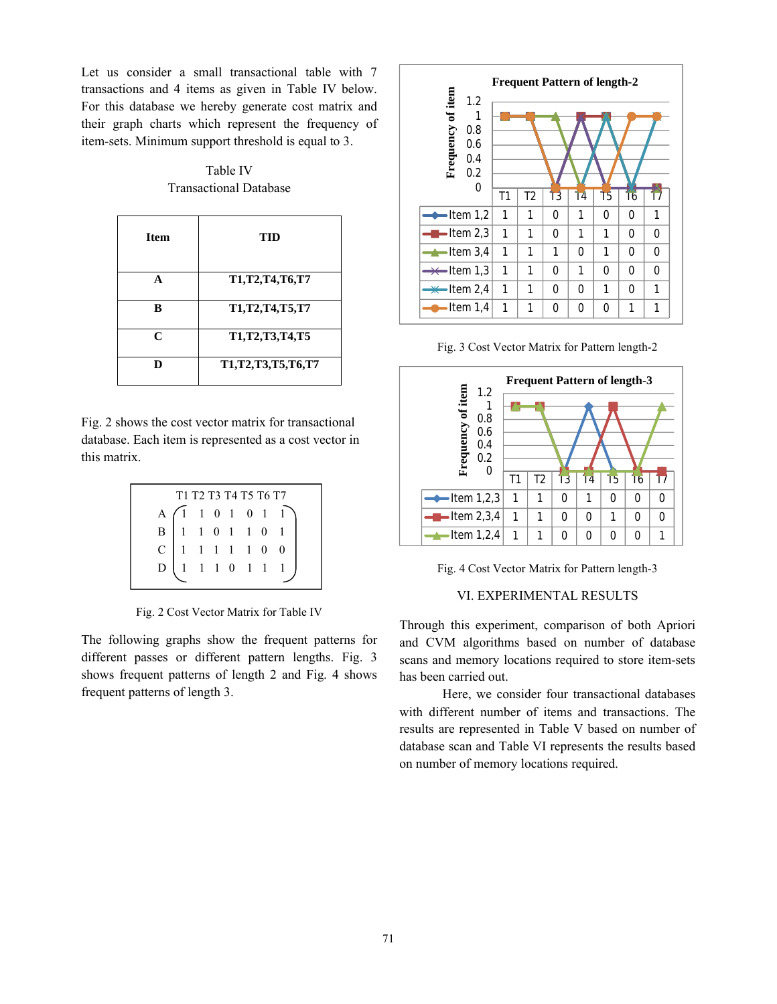Let us consider a small transactional table with 7 transactions and 4 items as given in Table IV below. For this database we hereby generate cost matrix and their graph charts which represent the frequency of item-sets. Minimum support threshold is equal to 3.

Table IV Transactional Database

| <b>Item</b> | TID               |
|-------------|-------------------|
| A           | T1,T2,T4,T6,T7    |
| B           | T1,T2,T4,T5,T7    |
| C           | T1,T2,T3,T4,T5    |
| D           | T1,T2,T3,T5,T6,T7 |

Fig. 2 shows the cost vector matrix for transactional database. Each item is represented as a cost vector in this matrix.

| T <sub>1</sub> T <sub>2</sub> T <sub>3</sub> T <sub>4</sub> T <sub>5</sub> T <sub>6</sub> T <sub>7</sub> |  |  |  |  |  |                                                                                                                                                                                  |  |
|----------------------------------------------------------------------------------------------------------|--|--|--|--|--|----------------------------------------------------------------------------------------------------------------------------------------------------------------------------------|--|
|                                                                                                          |  |  |  |  |  | $\begin{array}{c cccccc} A & 1 & 1 & 0 & 1 & 0 & 1 & 1 \\ \hline B & 1 & 1 & 0 & 1 & 1 & 0 & 1 \\ C & 1 & 1 & 1 & 1 & 1 & 0 & 0 \\ D & 1 & 1 & 1 & 0 & 1 & 1 & 1 \\ \end{array}$ |  |
|                                                                                                          |  |  |  |  |  |                                                                                                                                                                                  |  |
|                                                                                                          |  |  |  |  |  |                                                                                                                                                                                  |  |
|                                                                                                          |  |  |  |  |  |                                                                                                                                                                                  |  |
|                                                                                                          |  |  |  |  |  |                                                                                                                                                                                  |  |

Fig. 2 Cost Vector Matrix for Table IV

The following graphs show the frequent patterns for different passes or different pattern lengths. Fig. 3 shows frequent patterns of length 2 and Fig. 4 shows frequent patterns of length 3.



Fig. 3 Cost Vector Matrix for Pattern length-2



Fig. 4 Cost Vector Matrix for Pattern length-3

# VI. EXPERIMENTAL RESULTS

Through this experiment, comparison of both Apriori and CVM algorithms based on number of database scans and memory locations required to store item-sets has been carried out.

Here, we consider four transactional databases with different number of items and transactions. The results are represented in Table V based on number of database scan and Table VI represents the results based on number of memory locations required.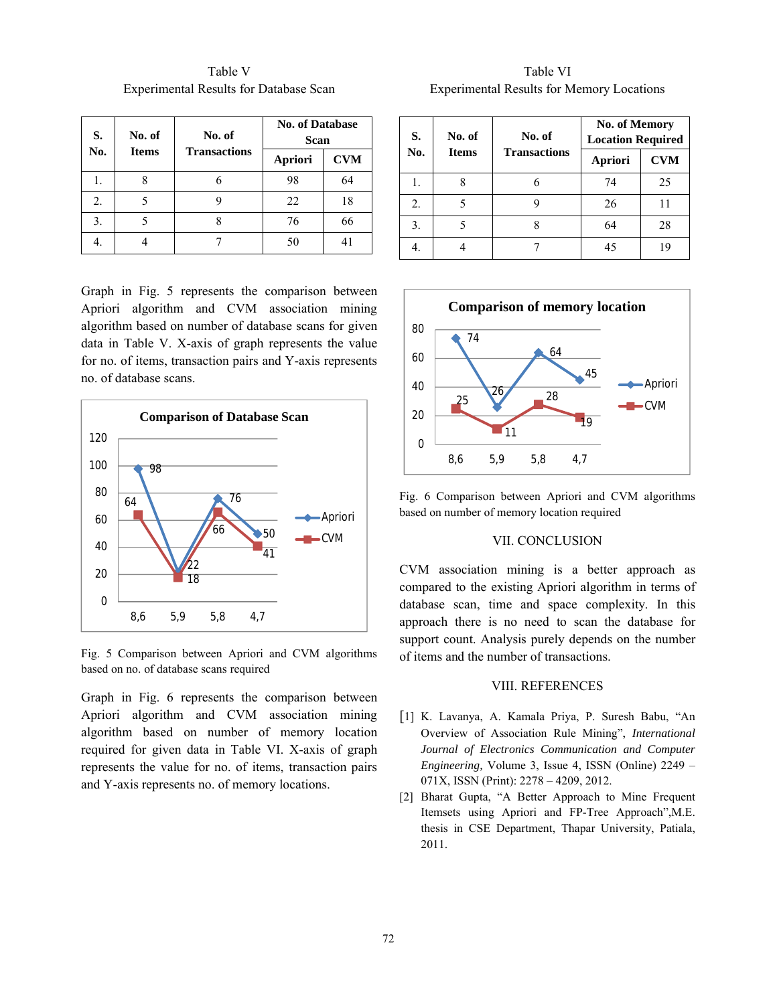| S.  | No. of<br>No. of |                     | <b>No. of Database</b><br>Scan |            |  |
|-----|------------------|---------------------|--------------------------------|------------|--|
| No. | <b>Items</b>     | <b>Transactions</b> | Apriori                        | <b>CVM</b> |  |
| 1.  |                  |                     | 98                             | 64         |  |
| 2.  |                  |                     | 22                             | 18         |  |
| 3.  |                  |                     | 76                             | 66         |  |
| 4.  |                  |                     | 50                             | 41         |  |

Table V Experimental Results for Database Scan

Graph in Fig. 5 represents the comparison between Apriori algorithm and CVM association mining algorithm based on number of database scans for given data in Table V. X-axis of graph represents the value for no. of items, transaction pairs and Y-axis represents no. of database scans.



Fig. 5 Comparison between Apriori and CVM algorithms based on no. of database scans required

Graph in Fig. 6 represents the comparison between Apriori algorithm and CVM association mining algorithm based on number of memory location required for given data in Table VI. X-axis of graph represents the value for no. of items, transaction pairs and Y-axis represents no. of memory locations.

Table VI Experimental Results for Memory Locations

| S.  | No. of       | No. of              | <b>No. of Memory</b><br><b>Location Required</b> |            |
|-----|--------------|---------------------|--------------------------------------------------|------------|
| No. | <b>Items</b> | <b>Transactions</b> | Apriori                                          | <b>CVM</b> |
|     |              |                     | 74                                               | 25         |
| 2.  |              |                     | 26                                               |            |
| 3.  |              |                     | 64                                               | 28         |
|     |              |                     | 45                                               | 19         |



Fig. 6 Comparison between Apriori and CVM algorithms based on number of memory location required

# VII. CONCLUSION

CVM association mining is a better approach as compared to the existing Apriori algorithm in terms of database scan, time and space complexity. In this approach there is no need to scan the database for support count. Analysis purely depends on the number of items and the number of transactions.

### VIII. REFERENCES

- [1] K. Lavanya, A. Kamala Priya, P. Suresh Babu, "An Overview of Association Rule Mining", *International Journal of Electronics Communication and Computer Engineering,* Volume 3, Issue 4, ISSN (Online) 2249 – 071X, ISSN (Print): 2278 – 4209, 2012.
- [2] Bharat Gupta, "A Better Approach to Mine Frequent Itemsets using Apriori and FP-Tree Approach",M.E. thesis in CSE Department, Thapar University, Patiala, 2011.